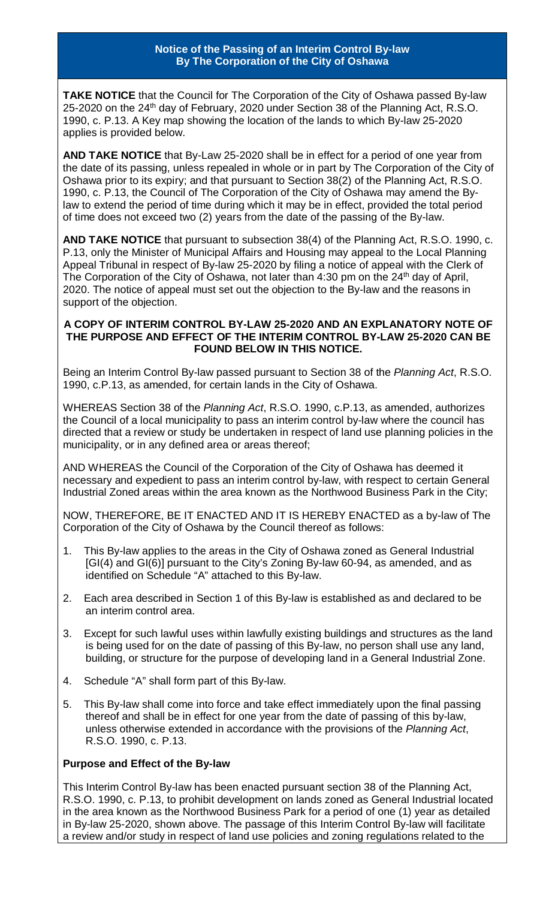## **Notice of the Passing of an Interim Control By-law By The Corporation of the City of Oshawa**

**TAKE NOTICE** that the Council for The Corporation of the City of Oshawa passed By-law 25-2020 on the 24<sup>th</sup> day of February, 2020 under Section 38 of the Planning Act, R.S.O. 1990, c. P.13. A Key map showing the location of the lands to which By-law 25-2020 applies is provided below.

**AND TAKE NOTICE** that By-Law 25-2020 shall be in effect for a period of one year from the date of its passing, unless repealed in whole or in part by The Corporation of the City of Oshawa prior to its expiry; and that pursuant to Section 38(2) of the Planning Act, R.S.O. 1990, c. P.13, the Council of The Corporation of the City of Oshawa may amend the Bylaw to extend the period of time during which it may be in effect, provided the total period of time does not exceed two (2) years from the date of the passing of the By-law.

**AND TAKE NOTICE** that pursuant to subsection 38(4) of the Planning Act, R.S.O. 1990, c. P.13, only the Minister of Municipal Affairs and Housing may appeal to the Local Planning Appeal Tribunal in respect of By-law 25-2020 by filing a notice of appeal with the Clerk of The Corporation of the City of Oshawa, not later than  $4:30$  pm on the  $24<sup>th</sup>$  day of April, 2020. The notice of appeal must set out the objection to the By-law and the reasons in support of the objection.

## **A COPY OF INTERIM CONTROL BY-LAW 25-2020 AND AN EXPLANATORY NOTE OF THE PURPOSE AND EFFECT OF THE INTERIM CONTROL BY-LAW 25-2020 CAN BE FOUND BELOW IN THIS NOTICE.**

Being an Interim Control By-law passed pursuant to Section 38 of the *Planning Act*, R.S.O. 1990, c.P.13, as amended, for certain lands in the City of Oshawa.

WHEREAS Section 38 of the *Planning Act*, R.S.O. 1990, c.P.13, as amended, authorizes the Council of a local municipality to pass an interim control by-law where the council has directed that a review or study be undertaken in respect of land use planning policies in the municipality, or in any defined area or areas thereof;

AND WHEREAS the Council of the Corporation of the City of Oshawa has deemed it necessary and expedient to pass an interim control by-law, with respect to certain General Industrial Zoned areas within the area known as the Northwood Business Park in the City;

NOW, THEREFORE, BE IT ENACTED AND IT IS HEREBY ENACTED as a by-law of The Corporation of the City of Oshawa by the Council thereof as follows:

- 1. This By-law applies to the areas in the City of Oshawa zoned as General Industrial [GI(4) and GI(6)] pursuant to the City's Zoning By-law 60-94, as amended, and as identified on Schedule "A" attached to this By-law.
- 2. Each area described in Section 1 of this By-law is established as and declared to be an interim control area.
- 3. Except for such lawful uses within lawfully existing buildings and structures as the land is being used for on the date of passing of this By-law, no person shall use any land, building, or structure for the purpose of developing land in a General Industrial Zone.
- 4. Schedule "A" shall form part of this By-law.
- 5. This By-law shall come into force and take effect immediately upon the final passing thereof and shall be in effect for one year from the date of passing of this by-law, unless otherwise extended in accordance with the provisions of the *Planning Act*, R.S.O. 1990, c. P.13.

## **Purpose and Effect of the By-law**

This Interim Control By-law has been enacted pursuant section 38 of the Planning Act, R.S.O. 1990, c. P.13, to prohibit development on lands zoned as General Industrial located in the area known as the Northwood Business Park for a period of one (1) year as detailed in By-law 25-2020, shown above. The passage of this Interim Control By-law will facilitate a review and/or study in respect of land use policies and zoning regulations related to the